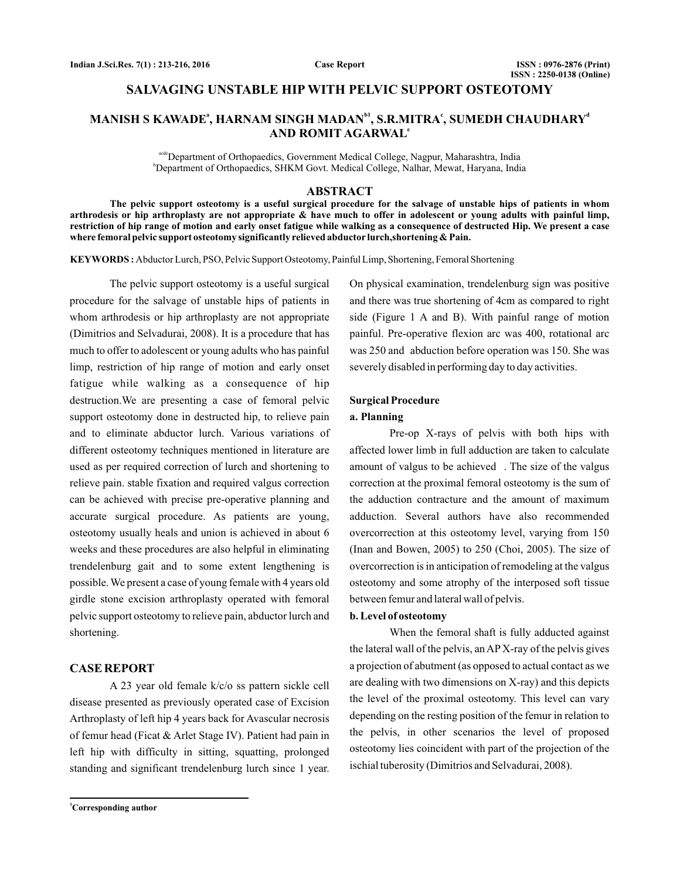# **SALVAGING UNSTABLE HIP WITH PELVIC SUPPORT OSTEOTOMY**

# $\mathbf{MANISH\ S\ KAWADE}^{a}, \mathbf{HARNAM\ SINGH\ MADAN}^{b1}, \mathbf{S.R.MITRA}^{c}, \mathbf{SUMEDH\ CHAUDHARY}^{a}$ **AND ROMIT AGARWAL e**

acde<sup>D</sup>epartment of Orthopaedics, Government Medical College, Nagpur, Maharashtra, India b Department of Orthopaedics, SHKM Govt. Medical College, Nalhar, Mewat, Haryana, India

### **ABSTRACT**

**The pelvic support osteotomy is a useful surgical procedure for the salvage of unstable hips of patients in whom arthrodesis or hip arthroplasty are not appropriate & have much to offer in adolescent or young adults with painful limp, restriction of hip range of motion and early onset fatigue while walking as a consequence of destructed Hip. We present a case where femoral pelvic support osteotomy significantly relieved abductor lurch,shortening & Pain.**

KEYWORDS: Abductor Lurch, PSO, Pelvic Support Osteotomy, Painful Limp, Shortening, Femoral Shortening

The pelvic support osteotomy is a useful surgical procedure for the salvage of unstable hips of patients in whom arthrodesis or hip arthroplasty are not appropriate (Dimitrios and Selvadurai, 2008). It is a procedure that has much to offer to adolescent or young adults who has painful limp, restriction of hip range of motion and early onset fatigue while walking as a consequence of hip destruction.We are presenting a case of femoral pelvic support osteotomy done in destructed hip, to relieve pain and to eliminate abductor lurch. Various variations of different osteotomy techniques mentioned in literature are used as per required correction of lurch and shortening to relieve pain. stable fixation and required valgus correction can be achieved with precise pre-operative planning and accurate surgical procedure. As patients are young, osteotomy usually heals and union is achieved in about 6 weeks and these procedures are also helpful in eliminating trendelenburg gait and to some extent lengthening is possible. We present a case of young female with 4 years old girdle stone excision arthroplasty operated with femoral pelvic support osteotomy to relieve pain, abductor lurch and shortening.

# **CASE REPORT**

A 23 year old female k/c/o ss pattern sickle cell disease presented as previously operated case of Excision Arthroplasty of left hip 4 years back for Avascular necrosis of femur head (Ficat & Arlet Stage IV). Patient had pain in left hip with difficulty in sitting, squatting, prolonged standing and significant trendelenburg lurch since 1 year.

**<sup>1</sup>Corresponding author**

On physical examination, trendelenburg sign was positive and there was true shortening of 4cm as compared to right side (Figure 1 A and B). With painful range of motion painful. Pre-operative flexion arc was 400, rotational arc was 250 and abduction before operation was 150. She was severely disabled in performing day to day activities.

### **Surgical Procedure**

## **a. Planning**

Pre-op X-rays of pelvis with both hips with affected lower limb in full adduction are taken to calculate amount of valgus to be achieved . The size of the valgus correction at the proximal femoral osteotomy is the sum of the adduction contracture and the amount of maximum adduction. Several authors have also recommended overcorrection at this osteotomy level, varying from 150 (Inan and Bowen, 2005) to 250 (Choi, 2005). The size of overcorrection is in anticipation of remodeling at the valgus osteotomy and some atrophy of the interposed soft tissue between femur and lateral wall of pelvis.

### **b. Level of osteotomy**

When the femoral shaft is fully adducted against the lateral wall of the pelvis, an AP X-ray of the pelvis gives a projection of abutment (as opposed to actual contact as we are dealing with two dimensions on X-ray) and this depicts the level of the proximal osteotomy. This level can vary depending on the resting position of the femur in relation to the pelvis, in other scenarios the level of proposed osteotomy lies coincident with part of the projection of the ischial tuberosity (Dimitrios and Selvadurai, 2008).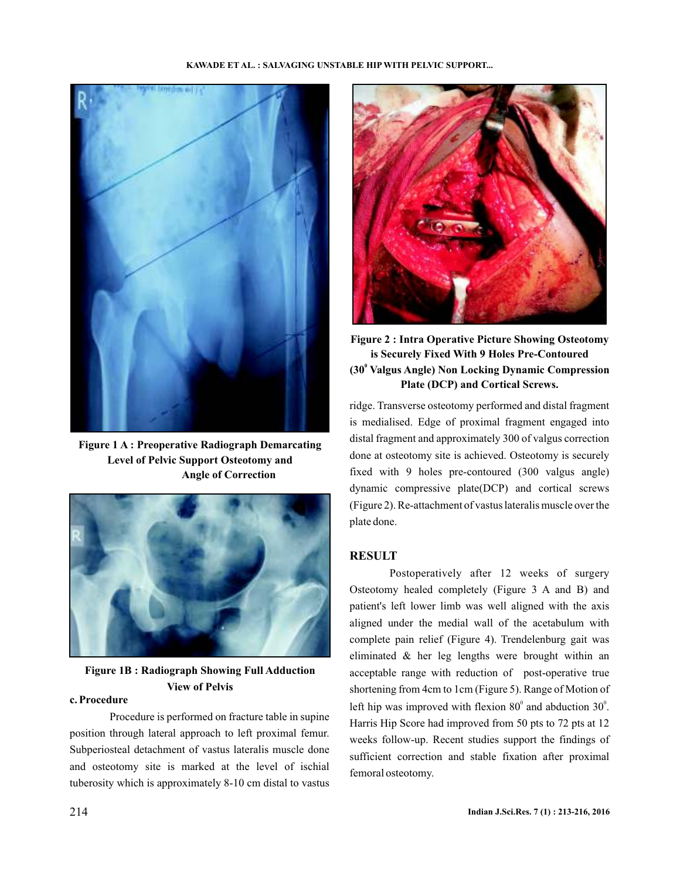

**Figure 1 A : Preoperative Radiograph Demarcating Level of Pelvic Support Osteotomy and Angle of Correction**



**Figure 1B : Radiograph Showing Full Adduction View of Pelvis**

Procedure is performed on fracture table in supine position through lateral approach to left proximal femur. Subperiosteal detachment of vastus lateralis muscle done and osteotomy site is marked at the level of ischial tuberosity which is approximately 8-10 cm distal to vastus



**Figure 2 : Intra Operative Picture Showing Osteotomy is Securely Fixed With 9 Holes Pre-Contoured (30 Valgus Angle) Non Locking Dynamic Compression 0 Plate (DCP) and Cortical Screws.**

ridge. Transverse osteotomy performed and distal fragment is medialised. Edge of proximal fragment engaged into distal fragment and approximately 300 of valgus correction done at osteotomy site is achieved. Osteotomy is securely fixed with 9 holes pre-contoured (300 valgus angle) dynamic compressive plate(DCP) and cortical screws (Figure 2). Re-attachment of vastus lateralis muscle over the plate done.

# **RESULT**

Postoperatively after 12 weeks of surgery Osteotomy healed completely (Figure 3 A and B) and patient's left lower limb was well aligned with the axis aligned under the medial wall of the acetabulum with complete pain relief (Figure 4). Trendelenburg gait was eliminated & her leg lengths were brought within an acceptable range with reduction of post-operative true shortening from 4cm to 1cm (Figure 5). Range of Motion of **c. Procedure** left hip was improved with flexion 80<sup>°</sup> and abduction 30<sup>°</sup>. Harris Hip Score had improved from 50 pts to 72 pts at 12 weeks follow-up. Recent studies support the findings of sufficient correction and stable fixation after proximal femoral osteotomy.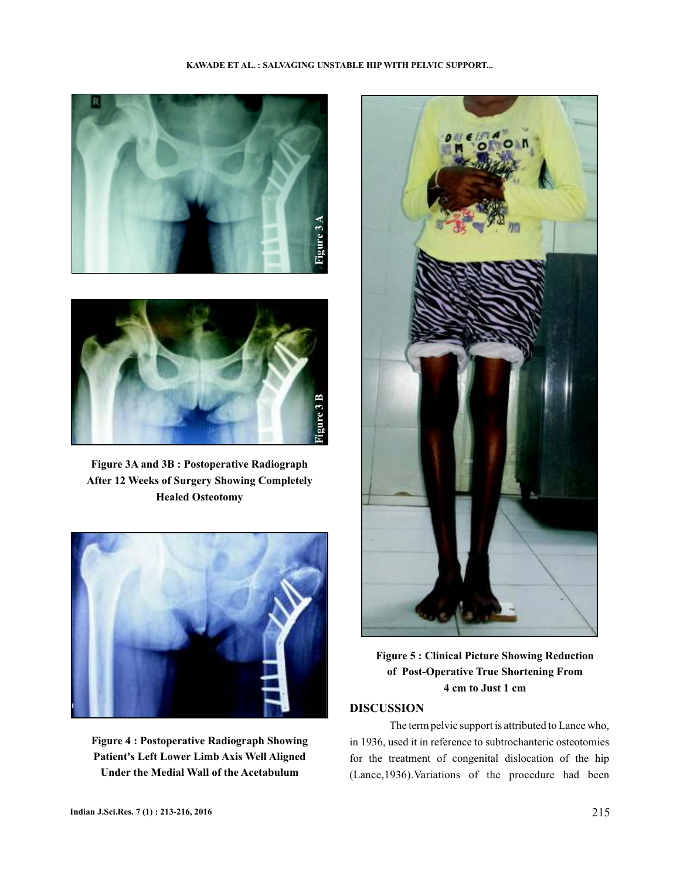### **KAWADE ET AL. : SALVAGING UNSTABLE HIP WITH PELVIC SUPPORT...**





**Figure 3A and 3B : Postoperative Radiograph After 12 Weeks of Surgery Showing Completely Healed Osteotomy**



**Figure 4 : Postoperative Radiograph Showing Patient's Left Lower Limb Axis Well Aligned Under the Medial Wall of the Acetabulum**



**Figure 5 : Clinical Picture Showing Reduction of Post-Operative True Shortening From 4 cm to Just 1 cm**

# **DISCUSSION**

The term pelvic support is attributed to Lance who, in 1936, used it in reference to subtrochanteric osteotomies for the treatment of congenital dislocation of the hip (Lance,1936).Variations of the procedure had been